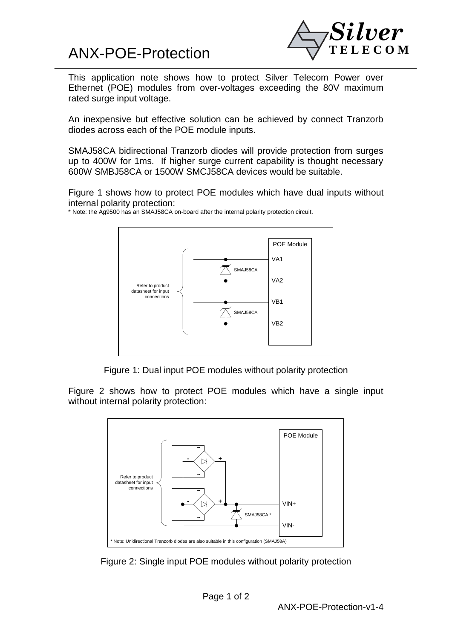## ANX-POE-Protection



This application note shows how to protect Silver Telecom Power over Ethernet (POE) modules from over-voltages exceeding the 80V maximum rated surge input voltage.

An inexpensive but effective solution can be achieved by connect Tranzorb diodes across each of the POE module inputs.

SMAJ58CA bidirectional Tranzorb diodes will provide protection from surges up to 400W for 1ms. If higher surge current capability is thought necessary 600W SMBJ58CA or 1500W SMCJ58CA devices would be suitable.

Figure 1 shows how to protect POE modules which have dual inputs without internal polarity protection:

\* Note: the Ag9500 has an SMAJ58CA on-board after the internal polarity protection circuit.



Figure 1: Dual input POE modules without polarity protection

Figure 2 shows how to protect POE modules which have a single input without internal polarity protection: